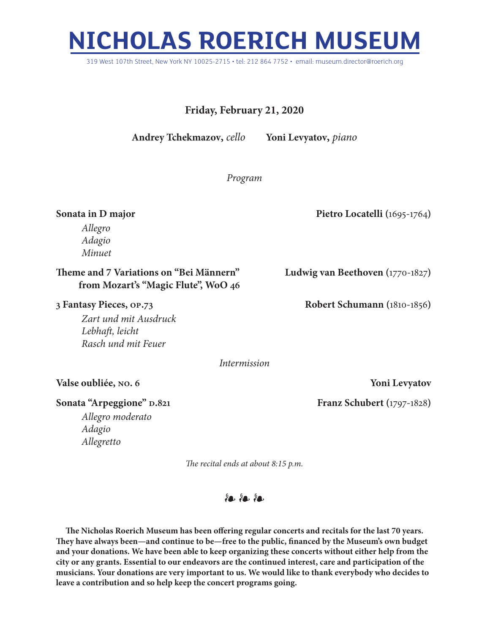# **NICHOLAS ROERICH MUSEUM**

319 West 107th Street, New York NY 10025-2715 • tel: 212 864 7752 • email: museum.director@roerich.org

# **Friday, February 21, 2020**

**Andrey Tchekmazov,** *cello* **Yoni Levyatov,** *piano*

*Program*

**Sonata in D major** Pietro Locatelli (1695-1764)

*Allegro Adagio Minuet*

## **Theme and 7 Variations on "Bei Männern" Ludwig van Beethoven (**1770-1827**) from Mozart's "Magic Flute", WoO 46**

#### **3 Fantasy Pieces, op.73 Robert Schumann (**1810-1856**)**

*Zart und mit Ausdruck Lebhaft, leicht Rasch und mit Feuer*

*Intermission*

## **Valse oubliée, no. 6 Yoni Levyatov**

## **Sonata "Arpeggione" D.821 Franz Schubert** (1797-1828)

*Allegro moderato Adagio Allegretto*

*The recital ends at about 8:15 p.m.*

❧ ❧ ❧

**The Nicholas Roerich Museum has been offering regular concerts and recitals for the last 70 years. They have always been—and continue to be—free to the public, financed by the Museum's own budget and your donations. We have been able to keep organizing these concerts without either help from the city or any grants. Essential to our endeavors are the continued interest, care and participation of the musicians. Your donations are very important to us. We would like to thank everybody who decides to leave a contribution and so help keep the concert programs going.**